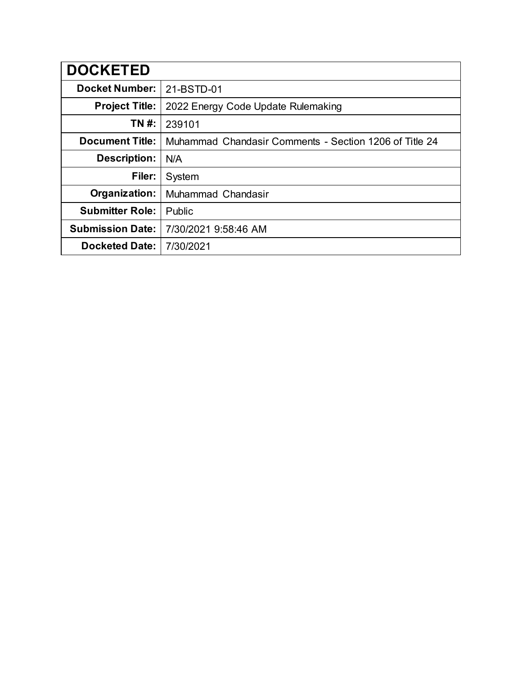| <b>DOCKETED</b>         |                                                        |
|-------------------------|--------------------------------------------------------|
| <b>Docket Number:</b>   | 21-BSTD-01                                             |
| <b>Project Title:</b>   | 2022 Energy Code Update Rulemaking                     |
| TN #:                   | 239101                                                 |
| <b>Document Title:</b>  | Muhammad Chandasir Comments - Section 1206 of Title 24 |
| <b>Description:</b>     | N/A                                                    |
| Filer:                  | System                                                 |
| Organization:           | Muhammad Chandasir                                     |
| <b>Submitter Role:</b>  | Public                                                 |
| <b>Submission Date:</b> | 7/30/2021 9:58:46 AM                                   |
| <b>Docketed Date:</b>   | 7/30/2021                                              |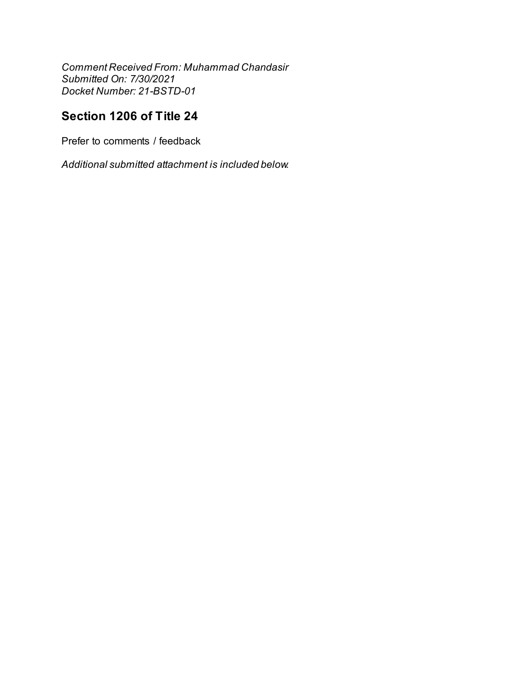Comment Received From: Muhammad Chandasir Submitted On: 7/30/2021 Docket Number: 21-BSTD-01

# Section 1206 of Title 24

Prefer to comments / feedback

Additional submitted attachment is included below.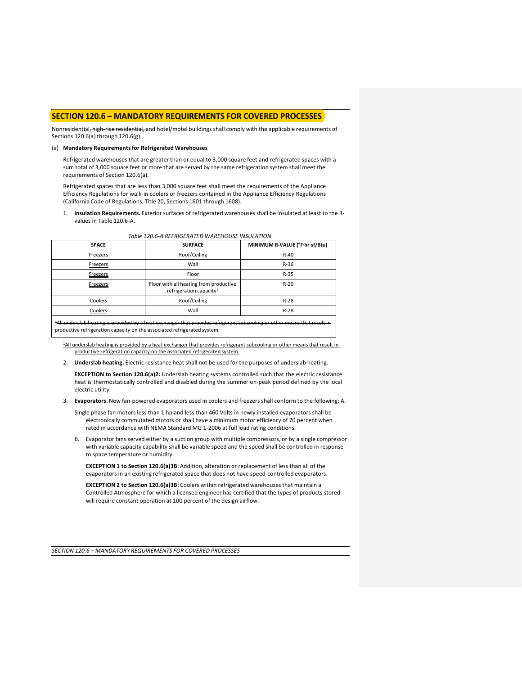# **SECTION 120.6 – MANDATORY REQUIREMENTS FOR COVERED PROCESSES**

Nonresidential, high-rise residential, and hotel/motel buildings shall comply with the applicable requirements of Sections 120.6(a) through 120.6(g).

### (a) **Mandatory Requirementsfor Refrigerated Warehouses**

Refrigerated warehouses that are greater than or equal to 3,000 square feet and refrigerated spaces with a sum total of 3,000 square feet or more that are served by the same refrigeration system shall meet the requirements of Section 120.6(a).

Refrigerated spaces that are less than 3,000 square feet shall meet the requirements of the Appliance Efficiency Regulations for walk-in coolers or freezers contained in the Appliance Efficiency Regulations (California Code of Regulations, Title 20, Sections 1601 through 1608).

1. **Insulation Requirements.** Exterior surfaces of refrigerated warehouses shall be insulated at least to the Rvalues in Table 120.6-A.

| <b>SPACE</b>                                                                                                                                                                                            | <b>SURFACE</b>                                                                | MINIMUM R-VALUE (°F-hr-sf/Btu) |  |  |
|---------------------------------------------------------------------------------------------------------------------------------------------------------------------------------------------------------|-------------------------------------------------------------------------------|--------------------------------|--|--|
| Freezers                                                                                                                                                                                                | Roof/Ceiling                                                                  | $R-40$                         |  |  |
| <b>Freezers</b>                                                                                                                                                                                         | Wall                                                                          | $R-36$                         |  |  |
| <b>Freezers</b>                                                                                                                                                                                         | Floor                                                                         | $R-35$                         |  |  |
| <b>Freezers</b>                                                                                                                                                                                         | Floor with all heating from productive<br>refrigeration capacity <sup>1</sup> | $R-20$                         |  |  |
| Coolers                                                                                                                                                                                                 | Roof/Ceiling                                                                  | $R-28$                         |  |  |
| Coolers                                                                                                                                                                                                 | Wall                                                                          | $R-28$                         |  |  |
| <sup>1</sup> /All underslab heating is provided by a heat exchanger that provides refrigerant subsooling or other means thi<br>productive refrigaration canacity on the accosiated refrigarated system. |                                                                               |                                |  |  |

*Table 120.6-A REFRIGERATED WAREHOUSE INSULATION*

<sup>1</sup>All underslab heating is provided by a heat exchanger that provides refrigerant subcooling or other means that result in productive refrigeration capacity on the associated refrigerated system.

2. **Underslab heating.** Electric resistance heat shall not be used for the purposes of underslab heating.

**EXCEPTION to Section 120.6(a)2:** Underslab heating systems controlled such that the electric resistance heat is thermostatically controlled and disabled during the summer on-peak period defined by the local electric utility.

3. **Evaporators.** New fan-powered evaporators used in coolers and freezers shall conform to the following: A.

Single phase fan motors less than 1 hp and less than 460 Volts in newly installed evaporators shall be electronically commutated motors or shall have a minimum motor efficiency of 70 percent when rated in accordance with NEMA Standard MG 1-2006 at full load rating conditions.

B. Evaporator fans served either by a suction group with multiple compressors, or by a single compressor with variable capacity capability shall be variable speed and the speed shall be controlled in response to space temperature or humidity.

**EXCEPTION 1 to Section 120.6(a)3B**: Addition, alteration or replacement of less than all of the evaporators in an existing refrigerated space that does not have speed-controlled evaporators.

**EXCEPTION 2 to Section 120.6(a)3B:** Coolers within refrigerated warehouses that maintain a Controlled Atmosphere for which a licensed engineer has certified that the types of products stored will require constant operation at 100 percent of the design airflow.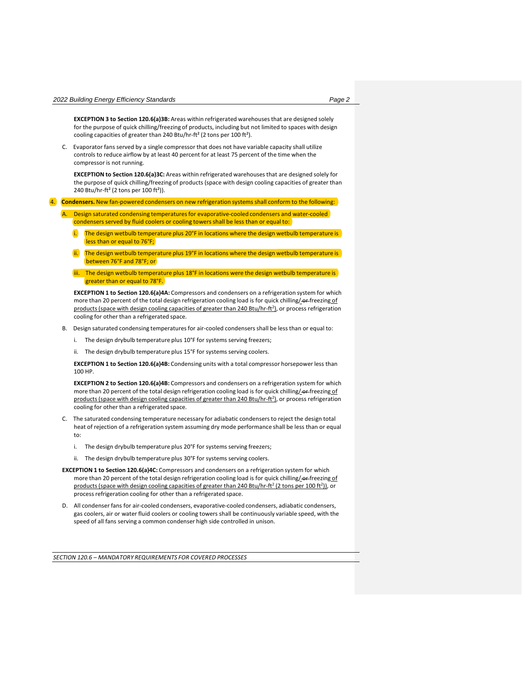**EXCEPTION 3 to Section 120.6(a)3B:** Areas within refrigerated warehouses that are designed solely for the purpose of quick chilling/freezing of products, including but not limited to spaces with design cooling capacities of greater than 240 Btu/hr-ft² (2 tons per 100 ft²).

C. Evaporator fans served by a single compressor that does not have variable capacity shall utilize controls to reduce airflow by at least 40 percent for at least 75 percent of the time when the compressor is not running.

**EXCEPTION to Section 120.6(a)3C:** Areas within refrigerated warehouses that are designed solely for the purpose of quick chilling/freezing of products (space with design cooling capacities of greater than 240 Btu/hr-ft² (2 tons per 100 ft²)).

4. **Condensers.** New fan-powered condensers on new refrigeration systems shall conform to the following:

- A. Design saturated condensing temperaturesfor evaporative-cooled condensers and water-cooled condensers served by fluid coolers or cooling towers shall be less than or equal to:
	- The design wetbulb temperature plus 20°F in locations where the design wetbulb temperature is less than or equal to 76°F;
	- $\overline{a}$ . The design wetbulb temperature plus 19°F in locations where the design wetbulb temperature is between 76°F and 78°F; or
	- iii. The design wetbulb temperature plus 18°F in locations were the design wetbulb temperature is greater than or equal to 78°F.

**EXCEPTION 1 to Section 120.6(a)4A:** Compressors and condensers on a refrigeration system for which more than 20 percent of the total design refrigeration cooling load is for quick chilling/ or freezing of products (space with design cooling capacities of greater than 240 Btu/hr-ft<sup>2</sup>), or process refrigeration cooling for other than a refrigerated space.

- B. Design saturated condensing temperatures for air-cooled condensers shall be less than or equal to:
	- i. The design drybulb temperature plus 10°F for systems serving freezers;
	- ii. The design drybulb temperature plus 15°F for systems serving coolers.

**EXCEPTION 1 to Section 120.6(a)4B:** Condensing units with a total compressor horsepower less than 100 HP.

**EXCEPTION 2 to Section 120.6(a)4B:** Compressors and condensers on a refrigeration system for which more than 20 percent of the total design refrigeration cooling load is for quick chilling/-or-freezing of products (space with design cooling capacities of greater than 240 Btu/hr-ft<sup>2</sup>), or process refrigeration cooling for other than a refrigerated space.

- C. The saturated condensing temperature necessary for adiabatic condensers to reject the design total heat of rejection of a refrigeration system assuming dry mode performance shall be less than or equal to:
	- i. The design drybulb temperature plus 20°F for systems serving freezers;
	- ii. The design drybulb temperature plus 30°F for systems serving coolers.
- **EXCEPTION 1 to Section 120.6(a)4C:** Compressors and condensers on a refrigeration system for which more than 20 percent of the total design refrigeration cooling load is for quick chilling/-or-freezing of products (space with design cooling capacities of greater than 240 Btu/hr-ft<sup>2</sup> (2 tons per 100 ft<sup>2</sup>)), or process refrigeration cooling for other than a refrigerated space.
- D. All condenser fans for air-cooled condensers, evaporative-cooled condensers, adiabatic condensers, gas coolers, air or water fluid coolers or cooling towers shall be continuously variable speed, with the speed of all fans serving a common condenser high side controlled in unison.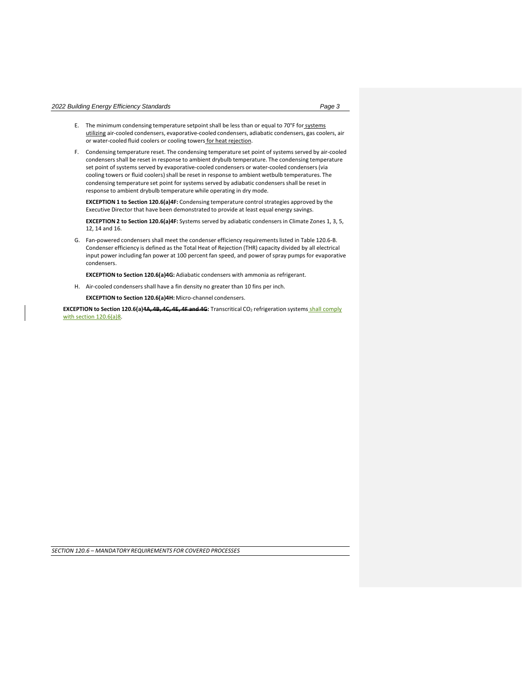- E. The minimum condensing temperature setpoint shall be less than or equal to 70°F for systems utilizing air-cooled condensers, evaporative-cooled condensers, adiabatic condensers, gas coolers, air or water-cooled fluid coolers or cooling towers for heat rejection.
- F. Condensing temperature reset. The condensing temperature set point of systems served by air-cooled condensers shall be reset in response to ambient drybulb temperature. The condensing temperature set point of systems served by evaporative-cooled condensers or water-cooled condensers (via cooling towers or fluid coolers) shall be reset in response to ambient wetbulb temperatures. The condensing temperature set point for systems served by adiabatic condensers shall be reset in response to ambient drybulb temperature while operating in dry mode.

**EXCEPTION 1 to Section 120.6(a)4F:** Condensing temperature controlstrategies approved by the Executive Director that have been demonstrated to provide at least equal energy savings.

**EXCEPTION 2 to Section 120.6(a)4F:** Systems served by adiabatic condensers in Climate Zones 1, 3, 5, 12, 14 and 16.

G. Fan-powered condensers shall meet the condenser efficiency requirementslisted in Table 120.6-B. Condenser efficiency is defined as the Total Heat of Rejection (THR) capacity divided by all electrical input power including fan power at 100 percent fan speed, and power of spray pumps for evaporative condensers.

**EXCEPTION to Section 120.6(a)4G:** Adiabatic condensers with ammonia as refrigerant.

H. Air-cooled condensers shall have a fin density no greater than 10 fins per inch.

**EXCEPTION to Section 120.6(a)4H:** Micro-channel condensers.

**EXCEPTION to Section 120.6(a)4A, 4B, 4C, 4E, 4F and 4G:** Transcritical CO<sup>2</sup> refrigeration systems shall comply with section 120.6(a)8.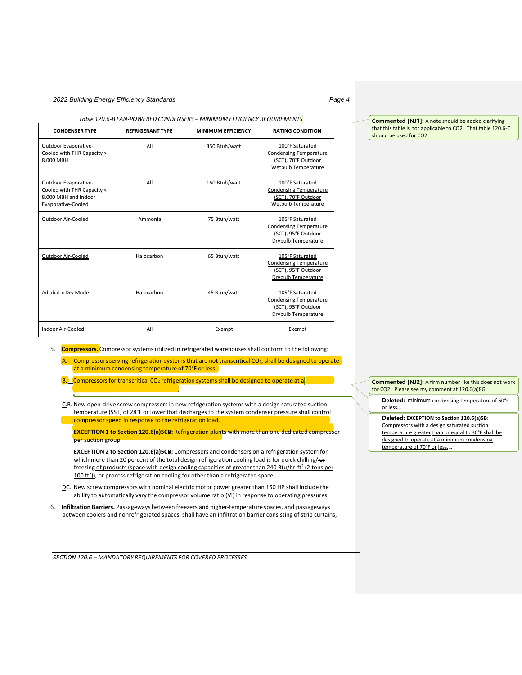# *2022 Building Energy Efficiency Standards Page 4*

## *Table 120.6-B FAN-POWERED CONDENSERS – MINIMUM EFFICIENCY REQUIREMENTS*

| <b>CONDENSER TYPE</b>                                                                            | <b>REFRIGERANT TYPE</b> | <b>MINIMUM EFFICIENCY</b> | <b>RATING CONDITION</b>                                                                               |
|--------------------------------------------------------------------------------------------------|-------------------------|---------------------------|-------------------------------------------------------------------------------------------------------|
| Outdoor Evaporative-<br>Cooled with THR Capacity ><br>8,000 MBH                                  | All                     | 350 Btuh/watt             | 100°F Saturated<br><b>Condensing Temperature</b><br>(SCT), 70°F Outdoor<br>Wetbulb Temperature        |
| Outdoor Evaporative-<br>Cooled with THR Capacity <<br>8,000 MBH and Indoor<br>Evaporative-Cooled | All                     | 160 Btuh/watt             | 100°F Saturated<br><b>Condensing Temperature</b><br>(SCT), 70°F Outdoor<br>Wetbulb Temperature        |
| Outdoor Air-Cooled                                                                               | Ammonia                 | 75 Btuh/watt              | 105°F Saturated<br><b>Condensing Temperature</b><br>(SCT), 95°F Outdoor<br>Drybulb Temperature        |
| Outdoor Air-Cooled                                                                               | Halocarbon              | 65 Btuh/watt              | 105°F Saturated<br><b>Condensing Temperature</b><br>(SCT), 95°F Outdoor<br><b>Drybulb Temperature</b> |
| <b>Adiabatic Dry Mode</b>                                                                        | Halocarbon              | 45 Btuh/watt              | 105°F Saturated<br><b>Condensing Temperature</b><br>(SCT), 95°F Outdoor<br>Drybulb Temperature        |
| Indoor Air-Cooled                                                                                | All                     | Exempt                    | Exempt                                                                                                |

5. **Compressors.** Compressorsystems utilized in refrigerated warehouses shall conform to the following:

A. Compressors serving refrigeration systems that are not transcritical CO<sub>2,</sub> shall be designed to operate at a minimum condensing temperature of 70°F or less.

 $B.$  Compressors for transcritical CO<sub>2</sub> refrigeration systems shall be designed to operate at a.

C.B. New open-drive screw compressors in new refrigeration systems with a design saturated suction temperature (SST) of 28°F or lower that discharges to the system condenser pressure shall control compressor speed in response to the refrigeration load.

**EXCEPTION 1 to Section 120.6(a)5CB:** Refrigeration plants with more than one dedicated compressor per suction group.

**EXCEPTION 2 to Section 120.6(a)5CB:** Compressors and condensers on a refrigeration system for which more than 20 percent of the total design refrigeration cooling load is for quick chilling/-or freezin<u>g of products (space with design cooling capacities of greater than 240 Btu/hr-ft<sup>2</sup> (2 tons per</u> 100 ft<sup>2</sup>)), or process refrigeration cooling for other than a refrigerated space.

- DC. New screw compressors with nominal electric motor power greater than 150 HP shall include the ability to automatically vary the compressor volume ratio (Vi) in response to operating pressures.
- 6. **Infiltration Barriers.** Passageways between freezers and higher-temperature spaces, and passageways between coolers and nonrefrigerated spaces, shall have an infiltration barrier consisting of strip curtains,

*SECTION 120.6 – MANDATORY REQUIREMENTS FOR COVERED PROCESSES*

**Commented [NJ1]:** A note should be added clarifying that this table is not applicable to CO2. That table 120.6-C should be used for CO2

**Commented [NJ2]:** A firm number like this does not work for CO2. Please see my comment at 120.6(a)8G

**Deleted:** minimum condensing temperature of 60°F or less…

**Deleted: EXCEPTION to Section 120.6(a)5B:** Compressors with a design saturated suction temperature greater than or equal to 30°F shall be designed to operate at a minimum condensing temperature of 70°F or less.…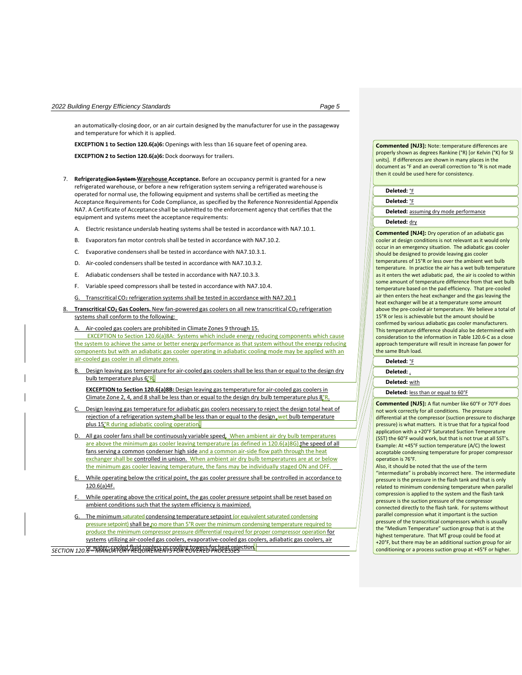an automatically-closing door, or an air curtain designed by the manufacturer for use in the passageway and temperature for which it is applied.

**EXCEPTION 1 to Section 120.6(a)6:** Openings with less than 16 square feet of opening area.

**EXCEPTION 2 to Section 120.6(a)6:** Dock doorways for trailers.

- 7. **Refrigeratedion System Warehouse Acceptance.** Before an occupancy permit is granted for a new refrigerated warehouse, or before a new refrigeration system serving a refrigerated warehouse is operated for normal use, the following equipment and systems shall be certified as meeting the Acceptance Requirementsfor Code Compliance, as specified by the Reference Nonresidential Appendix NA7. A Certificate of Acceptance shall be submitted to the enforcement agency that certifies that the equipment and systems meet the acceptance requirements:
	- A. Electric resistance underslab heating systems shall be tested in accordance with NA7.10.1.
	- B. Evaporators fan motor controls shall be tested in accordance with NA7.10.2.
	- C. Evaporative condensers shall be tested in accordance with NA7.10.3.1.
	- D. Air-cooled condensers shall be tested in accordance with NA7.10.3.2.
	- E. Adiabatic condensers shall be tested in accordance with NA7.10.3.3.
	- F. Variable speed compressors shall be tested in accordance with NA7.10.4.
	- G. Transcritical CO<sub>2</sub> refrigeration systems shall be tested in accordance with NA7.20.1
- 8. **Transcritical CO<sup>2</sup> Gas Coolers.** New fan-powered gas coolers on all new transcritical CO<sup>2</sup> refrigeration systems shall conform to the following:
	- A. Air-cooled gas coolers are prohibited in Climate Zones 9 through 15.

 EXCEPTION to Section 120.6(a)8A: Systems which include energy reducing components which cause the system to achieve the same or better energy performance as that system without the energy reducing components but with an adiabatic gas cooler operating in adiabatic cooling mode may be applied with an air-cooled gas cooler in all climate zones.

B. Design leaving gas temperature for air-cooled gas coolers shall be less than or equal to the design dry bulb temperature plus 6°R.

**EXCEPTION to Section 120.6(a)8B:** Design leaving gas temperature for air-cooled gas coolers in Climate Zone 2, 4, and 8 shall be less than or equal to the design dry bulb temperature plus 8°R.

- Design leaving gas temperature for adiabatic gas coolers necessary to reject the design total heat of rejection of a refrigeration system shall be less than or equal to the design wet bulb temperature plus 15°R during adiabatic cooling operation.
- All gas cooler fans shall be continuously variable speed. When ambient air dry bulb temperatures are above the minimum gas cooler leaving temperature (as defined in 120.6(a)8G) the speed of all fans serving a common condenser high side and a common air-side flow path through the heat exchanger shall be controlled in unison. When ambient air dry bulb temperatures are at or below the minimum gas cooler leaving temperature, the fans may be individually staged ON and OFF.
- While operating below the critical point, the gas cooler pressure shall be controlled in accordance to 120.6(a)4F.
- While operating above the critical point, the gas cooler pressure setpoint shall be reset based on ambient conditions such that the system efficiency is maximized.

The minimum saturated condensing temperature setpoint (or equivalent saturated condensing pressure setpoint) shall be no more than 5°R over the minimum condensing temperature required to produce the minimum compressor pressure differential required for proper compressor operation for systems utilizing air-cooled gas coolers, evaporative-cooled gas coolers, adiabatic gas coolers, air

*SECTION 120.6 – MANDATORY REQUIREMENTS FOR COVERED PROCESSES* or water- cooled fluid coolers or cooling towers for heat rejection.

**Commented [NJ3]:** Note: temperature differences are properly shown as degrees Rankine (°R) [or Kelvin (°K) for SI units]. If differences are shown in many places in the document as °F and an overall correction to °R is not made then it could be used here for consistency.

## **Deleted:** °F

**Deleted:** °F

**Deleted:** assuming dry mode performance

#### **Deleted:** dry

**Commented [NJ4]:** Dry operation of an adiabatic gas cooler at design conditions is not relevant as it would only occur in an emergency situation. The adiabatic gas cooler should be designed to provide leaving gas cooler temperatures of 15°R or less over the ambient wet bulb temperature. In practice the air has a wet bulb temperature as it enters the wet adiabatic pad, the air is cooled to within some amount of temperature difference from that wet bulb temperature based on the pad efficiency. That pre-cooled air then enters the heat exchanger and the gas leaving the heat exchanger will be at a temperature some amount above the pre-cooled air temperature. We believe a total of 15°R or less is achievable but the amount should be confirmed by various adiabatic gas cooler manufacturers. This temperature difference should also be determined with consideration to the information in Table 120.6-C as a close approach temperature will result in increase fan power for the same Btuh load.

# **Deleted:** °F

**Deleted:** ,

**Deleted:** with

**Deleted:** less than or equal to 60°F

**Commented [NJ5]:** A flat number like 60°F or 70°F does not work correctly for all conditions. The pressure differential at the compressor (suction pressure to discharge pressure) is what matters. It is true that for a typical food application with a +20°F Saturated Suction Temperature (SST) the 60°F would work, but that is not true at all SST's. Example: At +45°F suction temperature (A/C) the lowest acceptable condensing temperature for proper compressor operation is 76°F.

Also, it should be noted that the use of the term "intermediate" is probably incorrect here. The intermediate pressure is the pressure in the flash tank and that is only related to minimum condensing temperature when parallel compression is applied to the system and the flash tank pressure is the suction pressure of the compressor connected directly to the flash tank. For systems without parallel compression what it important is the suction pressure of the transcritical compressors which is usually the "Medium Temperature" suction group that is at the highest temperature. That MT group could be food at +20°F, but there may be an additional suction group for air conditioning or a process suction group at +45°F or higher.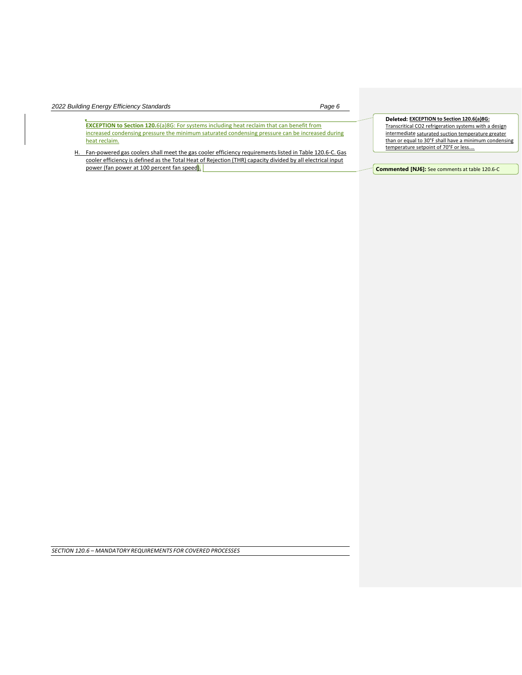| 2022 Building Energy Efficiency Standards<br>Page 6                                                                                                                                                                                                                                                                                                                                                                                              |                                                                                                                                                                                                                                                           |
|--------------------------------------------------------------------------------------------------------------------------------------------------------------------------------------------------------------------------------------------------------------------------------------------------------------------------------------------------------------------------------------------------------------------------------------------------|-----------------------------------------------------------------------------------------------------------------------------------------------------------------------------------------------------------------------------------------------------------|
| <b>EXCEPTION to Section 120.</b> 6(a)8G: For systems including heat reclaim that can benefit from<br>increased condensing pressure the minimum saturated condensing pressure can be increased during<br>heat reclaim.<br>H. Fan-powered gas coolers shall meet the gas cooler efficiency requirements listed in Table 120.6-C. Gas<br>cooler efficiency is defined as the Total Heat of Rejection (THR) capacity divided by all electrical input | Deleted: EXCEPTION to Section 120.6(a)8G:<br>Transcritical CO2 refrigeration systems with a design<br>intermediate saturated suction temperature greater<br>than or equal to 30°F shall have a minimum condensing<br>temperature setpoint of 70°F or less |
| power (fan power at 100 percent fan speed).                                                                                                                                                                                                                                                                                                                                                                                                      | <b>Commented [NJ6]:</b> See comments at table 120.6-C                                                                                                                                                                                                     |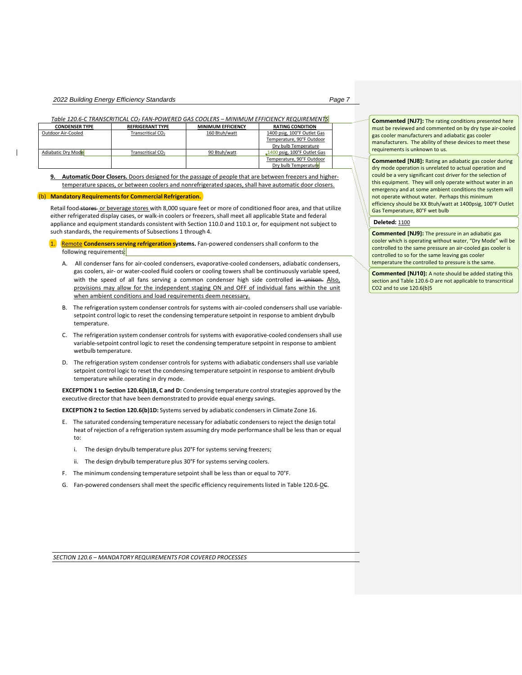*Table 120.6-C TRANSCRITICAL CO2 FAN-POWERED GAS COOLERS – MINIMUM EFFICIENCY REQUIREMENTS*

| <b>CONDENSER TYPE</b> | <b>REFRIGERANT TYPE</b>       | <b>MINIMUM EFFICIENCY</b> | <b>RATING CONDITION</b>            |  |
|-----------------------|-------------------------------|---------------------------|------------------------------------|--|
| Outdoor Air-Cooled    | Transcritical CO <sub>2</sub> | 160 Btuh/watt             | 1400 psig, 100°F Outlet Gas        |  |
|                       |                               |                           | Temperature, 90°F Outdoor          |  |
|                       |                               |                           | Dry bulb Temperature               |  |
| Adiabatic Dry Mode    | Transcritical CO <sub>2</sub> | 90 Btuh/watt              | $\Box$ 1400 psig, 100°F Outlet Gas |  |
|                       |                               |                           | Temperature, 90°F Outdoor          |  |
|                       |                               |                           | Dry bulb Temperature               |  |

**9. Automatic Door Closers.** Doors designed for the passage of people that are between freezers and highertemperature spaces, or between coolers and nonrefrigerated spaces, shall have automatic door closers.

# (b) **Mandatory Requirementsfor Commercial Refrigeration.**

Retail food stores or beverage stores with 8,000 square feet or more of conditioned floor area, and that utilize either refrigerated display cases, or walk-in coolers or freezers, shall meet all applicable State and federal appliance and equipment standards consistent with Section 110.0 and 110.1 or, for equipment not subject to such standards, the requirements of Subsections 1 through 4.

1. Remote **Condensers serving refrigeration systems.** Fan-powered condensers shall conform to the following requirements:

- A. All condenser fans for air-cooled condensers, evaporative-cooled condensers, adiabatic condensers, gas coolers, air- or water-cooled fluid coolers or cooling towers shall be continuously variable speed, with the speed of all fans serving a common condenser high side controlled in unison. Also, provisions may allow for the independent staging ON and OFF of individual fans within the unit when ambient conditions and load requirements deem necessary.
- B. The refrigeration system condenser controls for systems with air-cooled condensers shall use variablesetpoint control logic to reset the condensing temperature setpoint in response to ambient drybulb temperature.
- C. The refrigeration system condenser controls for systems with evaporative-cooled condensers shall use variable-setpoint control logic to reset the condensing temperature setpoint in response to ambient wetbulb temperature.
- D. The refrigeration system condenser controls for systems with adiabatic condensersshall use variable setpoint control logic to reset the condensing temperature setpoint in response to ambient drybulb temperature while operating in dry mode.

**EXCEPTION 1 to Section 120.6(b)1B, C and D:** Condensing temperature control strategies approved by the executive director that have been demonstrated to provide equal energy savings.

**EXCEPTION 2 to Section 120.6(b)1D:** Systems served by adiabatic condensers in Climate Zone 16.

- E. The saturated condensing temperature necessary for adiabatic condensers to reject the design total heat of rejection of a refrigeration system assuming dry mode performance shall be less than or equal to:
	- i. The design drybulb temperature plus 20°F for systems serving freezers;
	- ii. The design drybulb temperature plus 30°F for systems serving coolers.
- F. The minimum condensing temperature setpointshall be less than or equal to 70°F.
- G. Fan-powered condensers shall meet the specific efficiency requirements listed in Table 120.6-DC.

*SECTION 120.6 – MANDATORY REQUIREMENTS FOR COVERED PROCESSES*

**Commented [NJ7]:** The rating conditions presented here must be reviewed and commented on by dry type air-cooled gas cooler manufacturers and adiabatic gas cooler manufacturers. The ability of these devices to meet these requirements is unknown to us.

**Commented [NJ8]:** Rating an adiabatic gas cooler during dry mode operation is unrelated to actual operation and could be a very significant cost driver for the selection of this equipment. They will only operate without water in an emergency and at some ambient conditions the system will not operate without water. Perhaps this minimum efficiency should be XX Btuh/watt at 1400psig, 100°F Outlet Gas Temperature, 80°F wet bulb

# **Deleted:** 1100

**Commented [NJ9]:** The pressure in an adiabatic gas cooler which is operating without water, "Dry Mode" will be controlled to the same pressure an air-cooled gas cooler is controlled to so for the same leaving gas cooler temperature the controlled to pressure is the same.

**Commented [NJ10]:** A note should be added stating this section and Table 120.6-D are not applicable to transcritical CO2 and to use 120.6(b)5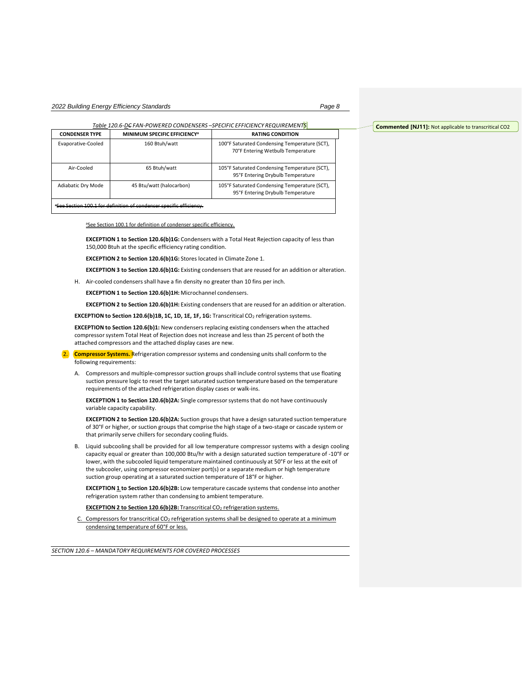*Table 120.6-DC FAN-POWERED CONDENSERS –SPECIFIC EFFICIENCY REQUIREMENTS*

| <b>CONDENSER TYPE</b> | <b>MINIMUM SPECIFIC EFFICIENCY<sup>a</sup></b> | <b>RATING CONDITION</b>                                                            |
|-----------------------|------------------------------------------------|------------------------------------------------------------------------------------|
| Evaporative-Cooled    | 160 Btuh/watt                                  | 100°F Saturated Condensing Temperature (SCT),<br>70°F Entering Wetbulb Temperature |
| Air-Cooled            | 65 Btuh/watt                                   | 105°F Saturated Condensing Temperature (SCT),<br>95°F Entering Drybulb Temperature |
| Adiabatic Dry Mode    | 45 Btu/watt (halocarbon)                       | 105°F Saturated Condensing Temperature (SCT),<br>95°F Entering Drybulb Temperature |
|                       |                                                |                                                                                    |

<sup>a</sup>See Section 100.1 for definition of condenser specific efficiency.

aSee Section 100.1 for definition of condenser specific efficiency.

**EXCEPTION 1 to Section 120.6(b)1G:** Condensers with a Total Heat Rejection capacity of less than 150,000 Btuh at the specific efficiency rating condition.

**EXCEPTION 2 to Section 120.6(b)1G:** Stores located in Climate Zone 1.

**EXCEPTION 3 to Section 120.6(b)1G:** Existing condensers that are reused for an addition or alteration.

H. Air-cooled condensers shall have a fin density no greater than 10 fins per inch.

**EXCEPTION 1 to Section 120.6(b)1H:** Microchannel condensers.

**EXCEPTION 2 to Section 120.6(b)1H:** Existing condensers that are reused for an addition or alteration.

**EXCEPTION to Section 120.6(b)1B, 1C, 1D, 1E, 1F, 1G:** Transcritical CO<sup>2</sup> refrigeration systems.

**EXCEPTION to Section 120.6(b)1:** New condensers replacing existing condensers when the attached compressorsystem Total Heat of Rejection does not increase and less than 25 percent of both the attached compressors and the attached display cases are new.

2. **Compressor Systems.** Refrigeration compressorsystems and condensing units shall conform to the following requirements:

A. Compressors and multiple-compressorsuction groups shall include control systems that use floating suction pressure logic to reset the target saturated suction temperature based on the temperature requirements of the attached refrigeration display cases or walk-ins.

**EXCEPTION 1 to Section 120.6(b)2A:** Single compressorsystems that do not have continuously variable capacity capability.

**EXCEPTION 2 to Section 120.6(b)2A:** Suction groups that have a design saturated suction temperature of 30°F or higher, or suction groups that comprise the high stage of a two-stage or cascade system or that primarily serve chillers for secondary cooling fluids.

B. Liquid subcooling shall be provided for all low temperature compressor systems with a design cooling capacity equal or greater than 100,000 Btu/hr with a design saturated suction temperature of -10°F or lower, with the subcooled liquid temperature maintained continuously at 50°F or less at the exit of the subcooler, using compressor economizer port(s) or a separate medium or high temperature suction group operating at a saturated suction temperature of 18°F or higher.

**EXCEPTION 1 to Section 120.6(b)2B:** Low temperature cascade systems that condense into another refrigeration system rather than condensing to ambient temperature.

**EXCEPTION 2 to Section 120**.**6(b)2B:** Transcritical CO<sup>2</sup> refrigeration systems.

C. Compressors for transcritical CO<sub>2</sub> refrigeration systems shall be designed to operate at a minimum condensing temperature of 60°F or less.

*SECTION 120.6 – MANDATORY REQUIREMENTS FOR COVERED PROCESSES*

**Commented [NJ11]:** Not applicable to transcritical CO2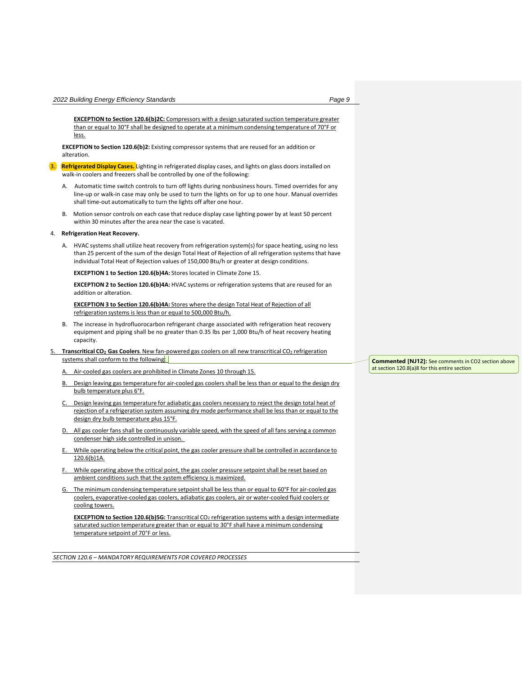**EXCEPTION to Section 120.6(b)2C:** Compressors with a design saturated suction temperature greater than or equal to 30°F shall be designed to operate at a minimum condensing temperature of 70°F or less.

**EXCEPTION to Section 120.6(b)2:** Existing compressorsystems that are reused for an addition or alteration.

- 3. **Refrigerated Display Cases.** Lighting in refrigerated display cases, and lights on glass doors installed on walk-in coolers and freezers shall be controlled by one of the following:
	- A. Automatic time switch controls to turn off lights during nonbusiness hours. Timed overrides for any line-up or walk-in case may only be used to turn the lights on for up to one hour. Manual overrides shall time-out automatically to turn the lights off after one hour.
	- B. Motion sensor controls on each case that reduce display case lighting power by at least 50 percent within 30 minutes after the area near the case is vacated.

## 4. **Refrigeration Heat Recovery.**

A. HVAC systems shall utilize heat recovery from refrigeration system(s) for space heating, using no less than 25 percent of the sum of the design Total Heat of Rejection of all refrigeration systems that have individual Total Heat of Rejection values of 150,000 Btu/h or greater at design conditions.

**EXCEPTION 1 to Section 120.6(b)4A:** Stores located in Climate Zone 15.

**EXCEPTION 2 to Section 120.6(b)4A:** HVAC systems or refrigeration systems that are reused for an addition or alteration.

**EXCEPTION 3 to Section 120.6(b)4A:** Stores where the design Total Heat of Rejection of all refrigeration systems is less than or equal to 500,000 Btu/h.

- B. The increase in hydrofluorocarbon refrigerant charge associated with refrigeration heat recovery equipment and piping shall be no greater than 0.35 lbs per 1,000 Btu/h of heat recovery heating capacity.
- 5. **Transcritical CO<sup>2</sup> Gas Coolers**. New fan-powered gas coolers on all new transcritical CO<sup>2</sup> refrigeration systems shall conform to the following:

Air-cooled gas coolers are prohibited in Climate Zones 10 through 15.

- B. Design leaving gas temperature for air-cooled gas coolers shall be less than or equal to the design dry bulb temperature plus 6°F.
- Design leaving gas temperature for adiabatic gas coolers necessary to reject the design total heat of rejection of a refrigeration system assuming dry mode performance shall be less than or equal to the design dry bulb temperature plus 15°F.
- All gas cooler fans shall be continuously variable speed, with the speed of all fans serving a common condenser high side controlled in unison.
- While operating below the critical point, the gas cooler pressure shall be controlled in accordance to 120.6(b)1A.
- While operating above the critical point, the gas cooler pressure setpoint shall be reset based on ambient conditions such that the system efficiency is maximized.
- The minimum condensing temperature setpoint shall be less than or equal to 60°F for air-cooled gas coolers, evaporative-cooled gas coolers, adiabatic gas coolers, air or water-cooled fluid coolers or cooling towers.

**EXCEPTION** to Section 120.6(b)5G: Transcritical CO<sub>2</sub> refrigeration systems with a design intermediate saturated suction temperature greater than or equal to 30°F shall have a minimum condensing temperature setpoint of 70°F or less.

*SECTION 120.6 – MANDATORY REQUIREMENTS FOR COVERED PROCESSES*

**Commented [NJ12]:** See comments in CO2 section above at section 120.8(a)8 for this entire section